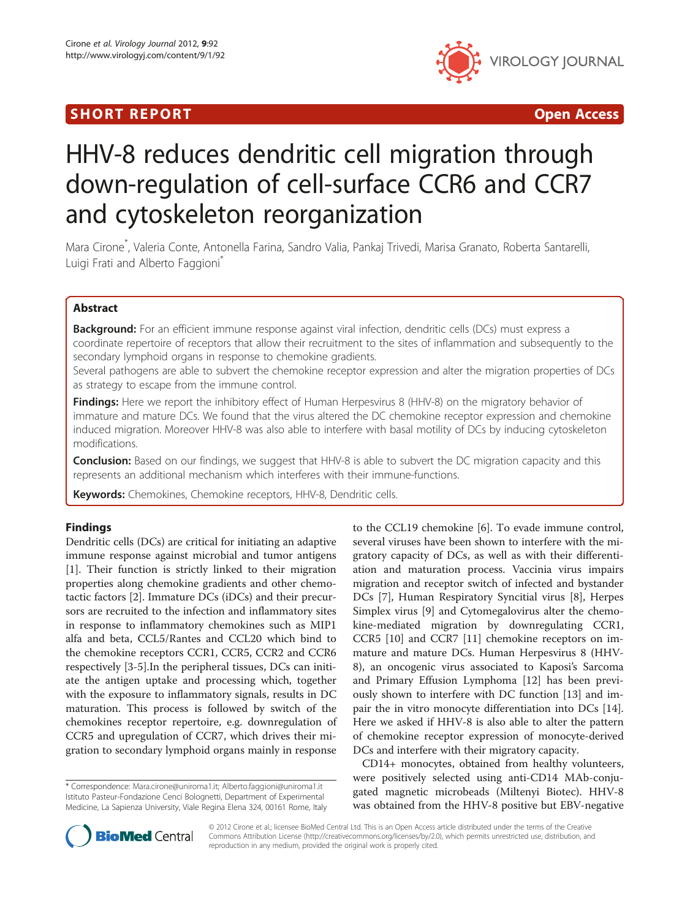## I SHORT REPORT AND THE RESERVE EXPLORER TO A SHOP OPEN ACCESS.



# HHV-8 reduces dendritic cell migration through down-regulation of cell-surface CCR6 and CCR7 and cytoskeleton reorganization

Mara Cirone\* , Valeria Conte, Antonella Farina, Sandro Valia, Pankaj Trivedi, Marisa Granato, Roberta Santarelli, Luigi Frati and Alberto Faggioni<sup>\*</sup>

## Abstract

Background: For an efficient immune response against viral infection, dendritic cells (DCs) must express a coordinate repertoire of receptors that allow their recruitment to the sites of inflammation and subsequently to the secondary lymphoid organs in response to chemokine gradients.

Several pathogens are able to subvert the chemokine receptor expression and alter the migration properties of DCs as strategy to escape from the immune control.

Findings: Here we report the inhibitory effect of Human Herpesvirus 8 (HHV-8) on the migratory behavior of immature and mature DCs. We found that the virus altered the DC chemokine receptor expression and chemokine induced migration. Moreover HHV-8 was also able to interfere with basal motility of DCs by inducing cytoskeleton modifications.

**Conclusion:** Based on our findings, we suggest that HHV-8 is able to subvert the DC migration capacity and this represents an additional mechanism which interferes with their immune-functions.

Keywords: Chemokines, Chemokine receptors, HHV-8, Dendritic cells.

## Findings

Dendritic cells (DCs) are critical for initiating an adaptive immune response against microbial and tumor antigens [[1\]](#page-4-0). Their function is strictly linked to their migration properties along chemokine gradients and other chemotactic factors [[2\]](#page-4-0). Immature DCs (iDCs) and their precursors are recruited to the infection and inflammatory sites in response to inflammatory chemokines such as MIP1 alfa and beta, CCL5/Rantes and CCL20 which bind to the chemokine receptors CCR1, CCR5, CCR2 and CCR6 respectively [\[3](#page-4-0)-[5\]](#page-4-0).In the peripheral tissues, DCs can initiate the antigen uptake and processing which, together with the exposure to inflammatory signals, results in DC maturation. This process is followed by switch of the chemokines receptor repertoire, e.g. downregulation of CCR5 and upregulation of CCR7, which drives their migration to secondary lymphoid organs mainly in response

\* Correspondence: [Mara.cirone@uniroma1.it](mailto:Mara.cirone@uniroma1.it); [Alberto.faggioni@uniroma1.it](mailto:Alberto.faggioni@uniroma1.it) Istituto Pasteur-Fondazione Cenci Bolognetti, Department of Experimental Medicine, La Sapienza University, Viale Regina Elena 324, 00161 Rome, Italy to the CCL19 chemokine [\[6](#page-4-0)]. To evade immune control, several viruses have been shown to interfere with the migratory capacity of DCs, as well as with their differentiation and maturation process. Vaccinia virus impairs migration and receptor switch of infected and bystander DCs [[7\]](#page-4-0), Human Respiratory Syncitial virus [\[8](#page-4-0)], Herpes Simplex virus [\[9](#page-4-0)] and Cytomegalovirus alter the chemokine-mediated migration by downregulating CCR1, CCR5 [[10\]](#page-4-0) and CCR7 [[11\]](#page-4-0) chemokine receptors on immature and mature DCs. Human Herpesvirus 8 (HHV-8), an oncogenic virus associated to Kaposi's Sarcoma and Primary Effusion Lymphoma [\[12](#page-4-0)] has been previously shown to interfere with DC function [\[13](#page-4-0)] and impair the in vitro monocyte differentiation into DCs [\[14](#page-4-0)]. Here we asked if HHV-8 is also able to alter the pattern of chemokine receptor expression of monocyte-derived DCs and interfere with their migratory capacity.

CD14+ monocytes, obtained from healthy volunteers, were positively selected using anti-CD14 MAb-conjugated magnetic microbeads (Miltenyi Biotec). HHV-8 was obtained from the HHV-8 positive but EBV-negative



© 2012 Cirone et al.; licensee BioMed Central Ltd. This is an Open Access article distributed under the terms of the Creative Commons Attribution License [\(http://creativecommons.org/licenses/by/2.0\)](http://creativecommons.org/licenses/by/2.0), which permits unrestricted use, distribution, and reproduction in any medium, provided the original work is properly cited.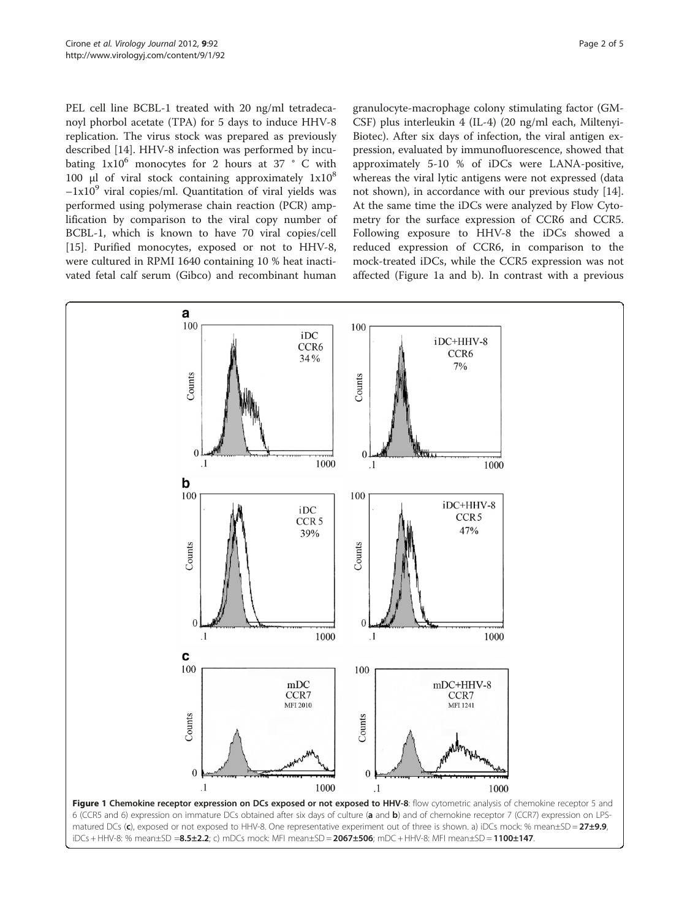<span id="page-1-0"></span>PEL cell line BCBL-1 treated with 20 ng/ml tetradecanoyl phorbol acetate (TPA) for 5 days to induce HHV-8 replication. The virus stock was prepared as previously described [[14\]](#page-4-0). HHV-8 infection was performed by incubating  $1x10^6$  monocytes for 2 hours at 37 ° C with 100 μl of viral stock containing approximately  $1x10^8$  $-1x10<sup>9</sup>$  viral copies/ml. Quantitation of viral yields was performed using polymerase chain reaction (PCR) amplification by comparison to the viral copy number of BCBL-1, which is known to have 70 viral copies/cell [[15\]](#page-4-0). Purified monocytes, exposed or not to HHV-8, were cultured in RPMI 1640 containing 10 % heat inactivated fetal calf serum (Gibco) and recombinant human granulocyte-macrophage colony stimulating factor (GM-CSF) plus interleukin 4 (IL-4) (20 ng/ml each, Miltenyi-Biotec). After six days of infection, the viral antigen expression, evaluated by immunofluorescence, showed that approximately 5-10 % of iDCs were LANA-positive, whereas the viral lytic antigens were not expressed (data not shown), in accordance with our previous study [\[14](#page-4-0)]. At the same time the iDCs were analyzed by Flow Cytometry for the surface expression of CCR6 and CCR5. Following exposure to HHV-8 the iDCs showed a reduced expression of CCR6, in comparison to the mock-treated iDCs, while the CCR5 expression was not affected (Figure 1a and b). In contrast with a previous

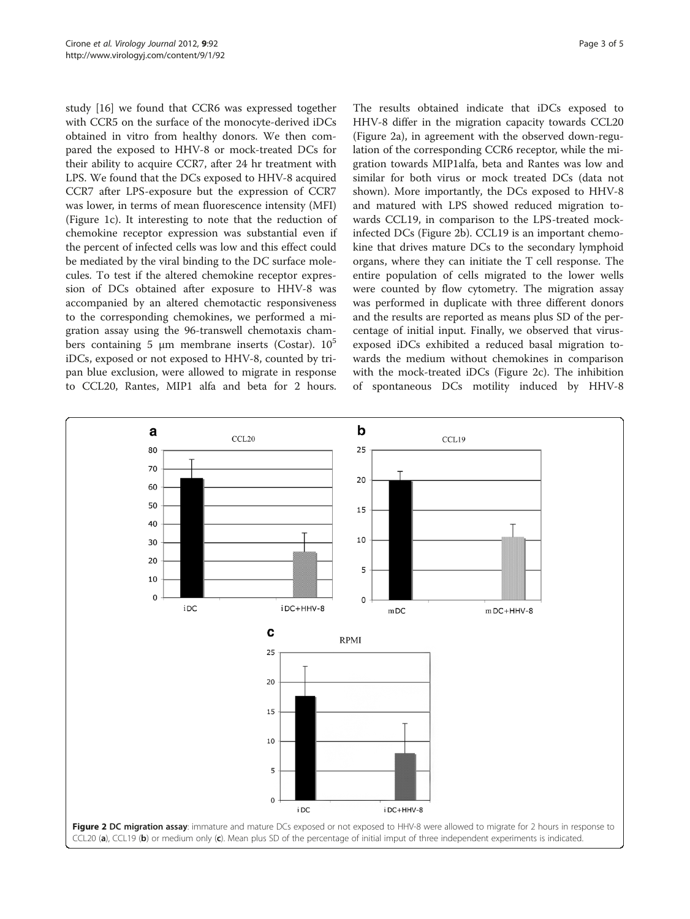study [[16\]](#page-4-0) we found that CCR6 was expressed together with CCR5 on the surface of the monocyte-derived iDCs obtained in vitro from healthy donors. We then compared the exposed to HHV-8 or mock-treated DCs for their ability to acquire CCR7, after 24 hr treatment with LPS. We found that the DCs exposed to HHV-8 acquired CCR7 after LPS-exposure but the expression of CCR7 was lower, in terms of mean fluorescence intensity (MFI) (Figure [1c](#page-1-0)). It interesting to note that the reduction of chemokine receptor expression was substantial even if the percent of infected cells was low and this effect could be mediated by the viral binding to the DC surface molecules. To test if the altered chemokine receptor expression of DCs obtained after exposure to HHV-8 was accompanied by an altered chemotactic responsiveness to the corresponding chemokines, we performed a migration assay using the 96-transwell chemotaxis chambers containing 5 μm membrane inserts (Costar).  $10^5$ iDCs, exposed or not exposed to HHV-8, counted by tripan blue exclusion, were allowed to migrate in response to CCL20, Rantes, MIP1 alfa and beta for 2 hours.

The results obtained indicate that iDCs exposed to HHV-8 differ in the migration capacity towards CCL20 (Figure 2a), in agreement with the observed down-regulation of the corresponding CCR6 receptor, while the migration towards MIP1alfa, beta and Rantes was low and similar for both virus or mock treated DCs (data not shown). More importantly, the DCs exposed to HHV-8 and matured with LPS showed reduced migration towards CCL19, in comparison to the LPS-treated mockinfected DCs (Figure 2b). CCL19 is an important chemokine that drives mature DCs to the secondary lymphoid organs, where they can initiate the T cell response. The entire population of cells migrated to the lower wells were counted by flow cytometry. The migration assay was performed in duplicate with three different donors and the results are reported as means plus SD of the percentage of initial input. Finally, we observed that virusexposed iDCs exhibited a reduced basal migration towards the medium without chemokines in comparison with the mock-treated iDCs (Figure 2c). The inhibition of spontaneous DCs motility induced by HHV-8

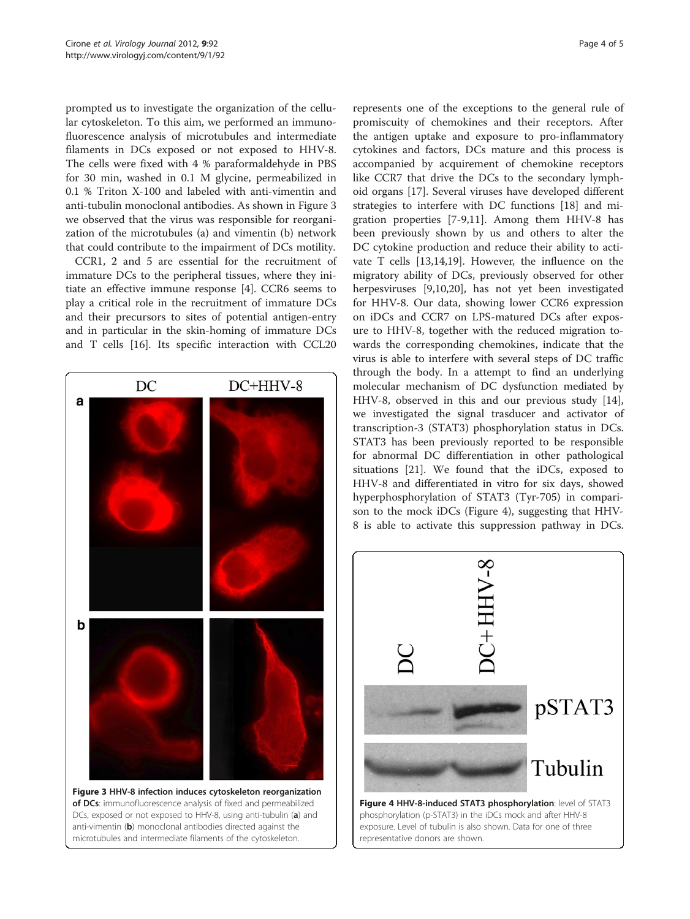prompted us to investigate the organization of the cellular cytoskeleton. To this aim, we performed an immunofluorescence analysis of microtubules and intermediate filaments in DCs exposed or not exposed to HHV-8. The cells were fixed with 4 % paraformaldehyde in PBS for 30 min, washed in 0.1 M glycine, permeabilized in 0.1 % Triton X-100 and labeled with anti-vimentin and anti-tubulin monoclonal antibodies. As shown in Figure 3 we observed that the virus was responsible for reorganization of the microtubules (a) and vimentin (b) network that could contribute to the impairment of DCs motility.

CCR1, 2 and 5 are essential for the recruitment of immature DCs to the peripheral tissues, where they initiate an effective immune response [\[4](#page-4-0)]. CCR6 seems to play a critical role in the recruitment of immature DCs and their precursors to sites of potential antigen-entry and in particular in the skin-homing of immature DCs and T cells [\[16](#page-4-0)]. Its specific interaction with CCL20

 $DC$  $DC+HHV-8$ a b Figure 3 HHV-8 infection induces cytoskeleton reorganization of DCs: immunofluorescence analysis of fixed and permeabilized DCs, exposed or not exposed to HHV-8, using anti-tubulin (a) and anti-vimentin (b) monoclonal antibodies directed against the

microtubules and intermediate filaments of the cytoskeleton.

represents one of the exceptions to the general rule of promiscuity of chemokines and their receptors. After the antigen uptake and exposure to pro-inflammatory cytokines and factors, DCs mature and this process is accompanied by acquirement of chemokine receptors like CCR7 that drive the DCs to the secondary lymphoid organs [[17\]](#page-4-0). Several viruses have developed different strategies to interfere with DC functions [[18\]](#page-4-0) and migration properties [[7-9,11](#page-4-0)]. Among them HHV-8 has been previously shown by us and others to alter the DC cytokine production and reduce their ability to activate T cells [\[13,14,19](#page-4-0)]. However, the influence on the migratory ability of DCs, previously observed for other herpesviruses [[9](#page-4-0),[10](#page-4-0),[20](#page-4-0)], has not yet been investigated for HHV-8. Our data, showing lower CCR6 expression on iDCs and CCR7 on LPS-matured DCs after exposure to HHV-8, together with the reduced migration towards the corresponding chemokines, indicate that the virus is able to interfere with several steps of DC traffic through the body. In a attempt to find an underlying molecular mechanism of DC dysfunction mediated by HHV-8, observed in this and our previous study [\[14](#page-4-0)], we investigated the signal trasducer and activator of transcription-3 (STAT3) phosphorylation status in DCs. STAT3 has been previously reported to be responsible for abnormal DC differentiation in other pathological situations [[21\]](#page-4-0). We found that the iDCs, exposed to HHV-8 and differentiated in vitro for six days, showed hyperphosphorylation of STAT3 (Tyr-705) in comparison to the mock iDCs (Figure 4), suggesting that HHV-8 is able to activate this suppression pathway in DCs.



representative donors are shown.